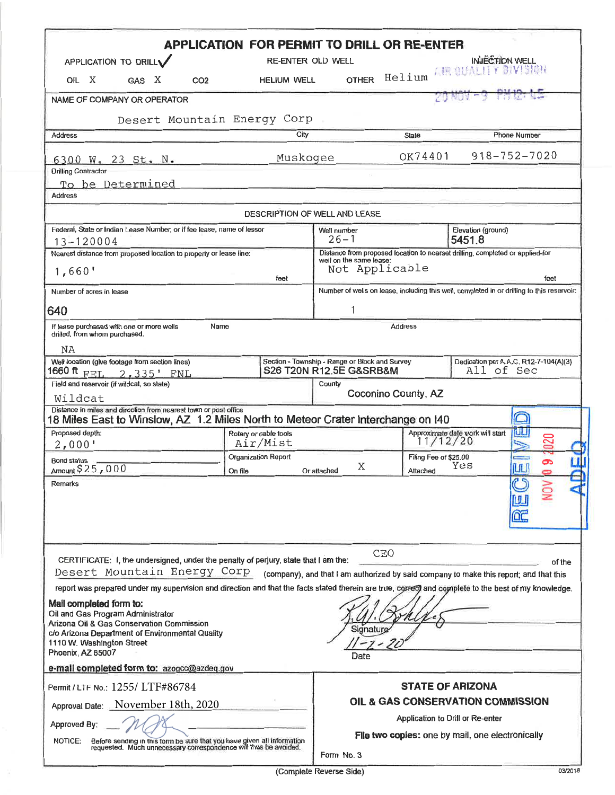|                                                                                                                                                                                                                | <b>APPLICATION FOR PERMIT TO DRILL OR RE-ENTER</b>                                         |                                                                           |                                  |                                                                                        |                  |  |
|----------------------------------------------------------------------------------------------------------------------------------------------------------------------------------------------------------------|--------------------------------------------------------------------------------------------|---------------------------------------------------------------------------|----------------------------------|----------------------------------------------------------------------------------------|------------------|--|
| APPLICATION TO DRILLV                                                                                                                                                                                          | RE-ENTER OLD WELL                                                                          |                                                                           |                                  | INJECTION WELL                                                                         |                  |  |
| OIL X<br>GAS X<br>CO <sub>2</sub>                                                                                                                                                                              | <b>HELIUM WELL</b>                                                                         | <b>OTHER</b>                                                              | Helium                           | AR OUNLITY BIVISHER                                                                    |                  |  |
| NAME OF COMPANY OR OPERATOR                                                                                                                                                                                    |                                                                                            |                                                                           |                                  |                                                                                        |                  |  |
| Desert Mountain Energy Corp                                                                                                                                                                                    |                                                                                            |                                                                           |                                  |                                                                                        |                  |  |
| <b>Address</b>                                                                                                                                                                                                 | City                                                                                       |                                                                           |                                  | <b>Phone Number</b><br>State                                                           |                  |  |
| 6300 W. 23 St. N.                                                                                                                                                                                              | Muskogee                                                                                   | OK74401                                                                   |                                  | $918 - 752 - 7020$                                                                     |                  |  |
| <b>Drilling Contractor</b>                                                                                                                                                                                     |                                                                                            |                                                                           |                                  |                                                                                        |                  |  |
| To be Determined<br><b>Address</b>                                                                                                                                                                             |                                                                                            |                                                                           |                                  |                                                                                        |                  |  |
|                                                                                                                                                                                                                |                                                                                            |                                                                           |                                  |                                                                                        |                  |  |
|                                                                                                                                                                                                                |                                                                                            | DESCRIPTION OF WELL AND LEASE                                             |                                  |                                                                                        |                  |  |
| Federal, State or Indian Lease Number, or if fee lease, name of lessor<br>$13 - 120004$                                                                                                                        |                                                                                            | Elevation (ground)<br>Well number<br>$26 - 1$<br>5451.8                   |                                  |                                                                                        |                  |  |
| Nearest distance from proposed location to property or lease line:                                                                                                                                             |                                                                                            |                                                                           |                                  | Distance from proposed location to nearset drilling, completed or applied-for          |                  |  |
| 1,660'                                                                                                                                                                                                         | feet                                                                                       | well on the same lease:<br>Not Applicable<br>feet                         |                                  |                                                                                        |                  |  |
| Number of acres in lease                                                                                                                                                                                       | Number of wells on lease, including this well, completed in or drilling to this reservoir: |                                                                           |                                  |                                                                                        |                  |  |
| 640                                                                                                                                                                                                            | 1                                                                                          |                                                                           |                                  |                                                                                        |                  |  |
| If lease purchased with one or more wells<br>Name<br>drilled, from whom purchased.                                                                                                                             | <b>Address</b>                                                                             |                                                                           |                                  |                                                                                        |                  |  |
| NA                                                                                                                                                                                                             |                                                                                            |                                                                           |                                  |                                                                                        |                  |  |
| Well location (give footage from section lines)<br>1660 ft                                                                                                                                                     |                                                                                            | Section - Township - Range or Block and Survey<br>S26 T20N R12.5E G&SRB&M |                                  | Dedication per A.A.C. R12-7-104(A)(3)<br>All of Sec                                    |                  |  |
| FEL 2,335' FNL<br>Field and reservoir (if wildcat, so state)                                                                                                                                                   |                                                                                            | County                                                                    |                                  |                                                                                        |                  |  |
| Wildcat                                                                                                                                                                                                        |                                                                                            |                                                                           | Coconino County, AZ              |                                                                                        |                  |  |
| Distance in miles and direction from nearest town or post office<br>18 Miles East to Winslow, AZ 1.2 Miles North to Meteor Crater Interchange on 140                                                           |                                                                                            |                                                                           |                                  |                                                                                        |                  |  |
| Proposed depth:                                                                                                                                                                                                | Rotary or cable tools                                                                      |                                                                           |                                  | Approximate date work will start<br>11/12/20                                           | ШU<br>020        |  |
| 2,000'                                                                                                                                                                                                         | Air/Mist<br>Organization Report                                                            |                                                                           |                                  | Filing Fee of \$25.00                                                                  |                  |  |
| <b>Bond status</b><br>Amount \$25,000                                                                                                                                                                          | On file                                                                                    | Χ<br>Or attached                                                          | Attached                         | Yes                                                                                    | ෬<br><b>TULI</b> |  |
| Remarks                                                                                                                                                                                                        |                                                                                            |                                                                           |                                  |                                                                                        |                  |  |
| CERTIFICATE: I, the undersigned, under the penalty of perjury, state that I am the:<br>Desert Mountain Energy Corp                                                                                             |                                                                                            |                                                                           | CEO                              | (company), and that I am authorized by said company to make this report; and that this | of the           |  |
| report was prepared under my supervision and direction and that the facts stated therein are true, correct and complete to the best of my knowledge.                                                           |                                                                                            |                                                                           |                                  |                                                                                        |                  |  |
| Mail completed form to:<br>Oil and Gas Program Administrator<br>Arizona Oil & Gas Conservation Commission<br>c/o Arizona Department of Environmental Quality<br>1110 W. Washington Street<br>Phoenix, AZ 85007 |                                                                                            | Signature                                                                 |                                  |                                                                                        |                  |  |
| e-mail completed form to: azogcc@azdeq.gov                                                                                                                                                                     |                                                                                            | Date                                                                      |                                  |                                                                                        |                  |  |
| Permit / LTF No.: 1255/ LTF#86784                                                                                                                                                                              |                                                                                            |                                                                           |                                  | <b>STATE OF ARIZONA</b>                                                                |                  |  |
| Approval Date: November 18th, 2020                                                                                                                                                                             | OIL & GAS CONSERVATION COMMISSION                                                          |                                                                           |                                  |                                                                                        |                  |  |
|                                                                                                                                                                                                                |                                                                                            |                                                                           | Application to Drill or Re-enter |                                                                                        |                  |  |
| Approved By:                                                                                                                                                                                                   |                                                                                            |                                                                           |                                  | File two copies: one by mail, one electronically                                       |                  |  |
| Before sending in this torm be sure that you have given all information<br>requested. Much unnecessary correspondence will thus be avoided.<br>NOTICE:                                                         |                                                                                            |                                                                           |                                  |                                                                                        |                  |  |
|                                                                                                                                                                                                                |                                                                                            | Form No. 3                                                                |                                  |                                                                                        |                  |  |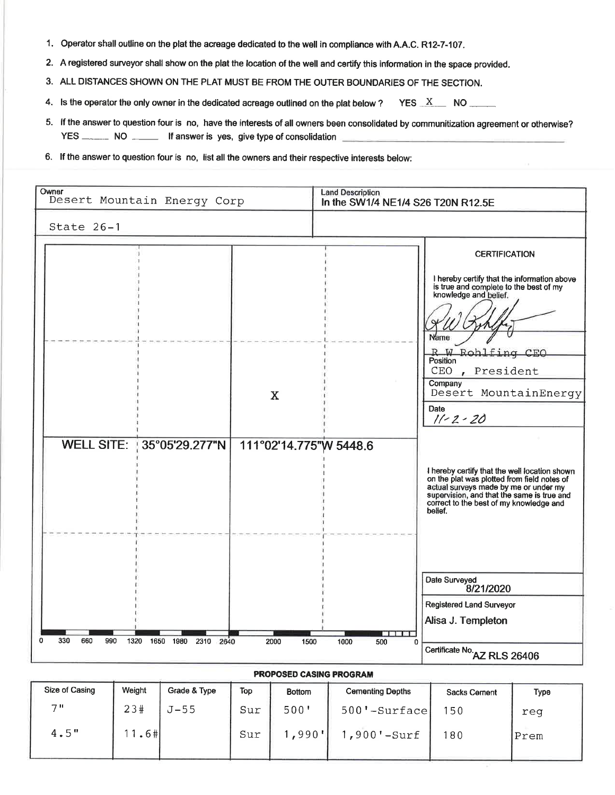- 1. Operator shall outline on the plat the acreage dedicated to the well in compliance with A.A.C. R12-7-107.
- 2. A registered surveyor shall show on the plat the location of the well and certify this information in the space provided.
- 3. ALL DISTANCES SHOWN ON THE PLAT MUST BE FROM THE OUTER BOUNDARIES OF THE SECTION.
- 4. Is the operator the only owner in the dedicated acreage outlined on the plat below? YES  $X$  NO \_\_\_\_\_\_
- 5. If the answer to question four is no, have the interests of all owners been consolidated by communitization agreement or otherwise? YES \_\_\_\_\_\_ NO \_\_\_\_\_ If answer is yes, give type of consolidation
- 6. If the answer to question four is no, list all the owners and their respective interests below:

| Owner<br>Desert Mountain Energy Corp                                   | <b>Land Description</b><br>In the SW1/4 NE1/4 S26 T20N R12.5E                                                                                                                                                                             |  |  |  |  |  |  |
|------------------------------------------------------------------------|-------------------------------------------------------------------------------------------------------------------------------------------------------------------------------------------------------------------------------------------|--|--|--|--|--|--|
| State 26-1                                                             |                                                                                                                                                                                                                                           |  |  |  |  |  |  |
|                                                                        | <b>CERTIFICATION</b>                                                                                                                                                                                                                      |  |  |  |  |  |  |
|                                                                        | I hereby certify that the information above<br>is true and complete to the best of my<br>knowledge and belief.<br>Name<br>W Rohlfing CEO<br>R<br>Position<br>CEO<br>, President<br>Company                                                |  |  |  |  |  |  |
| X                                                                      | Desert MountainEnergy<br>Date<br>$11 - 2 - 20$                                                                                                                                                                                            |  |  |  |  |  |  |
| WELL SITE: 35°05'29.277"N                                              | 111°02'14.775"W 5448.6                                                                                                                                                                                                                    |  |  |  |  |  |  |
|                                                                        | I hereby certify that the well location shown<br>on the plat was plotted from field notes of<br>actual surveys made by me or under my<br>supervision, and that the same is true and<br>correct to the best of my knowledge and<br>belief. |  |  |  |  |  |  |
|                                                                        | Date Surveyed<br>8/21/2020                                                                                                                                                                                                                |  |  |  |  |  |  |
|                                                                        | <b>Registered Land Surveyor</b>                                                                                                                                                                                                           |  |  |  |  |  |  |
|                                                                        | Alisa J. Templeton<br><b>MENT</b>                                                                                                                                                                                                         |  |  |  |  |  |  |
| 330<br>660<br>0<br>990<br>1320<br>1650<br>1980<br>2310<br>2640<br>2000 | 1500<br>1000<br>$\Omega$<br>500<br>Certificate No.<br>AZ RLS 26406                                                                                                                                                                        |  |  |  |  |  |  |
| <b>PROPOSED CASING PROGRAM</b>                                         |                                                                                                                                                                                                                                           |  |  |  |  |  |  |

| Size of Casing | Weight  | Grade & Type | Top | <b>Bottom</b> | <b>Cementing Depths</b> | Sacks Cement | Type |
|----------------|---------|--------------|-----|---------------|-------------------------|--------------|------|
| 711            | 23#     | $J-55$       | Sur | 500'          | $500'$ -Surface         | 150          | req  |
| 4.5"           | $1.6$ # |              | Sur | ,990'         | $,900'$ -Surf           | 80           | Prem |